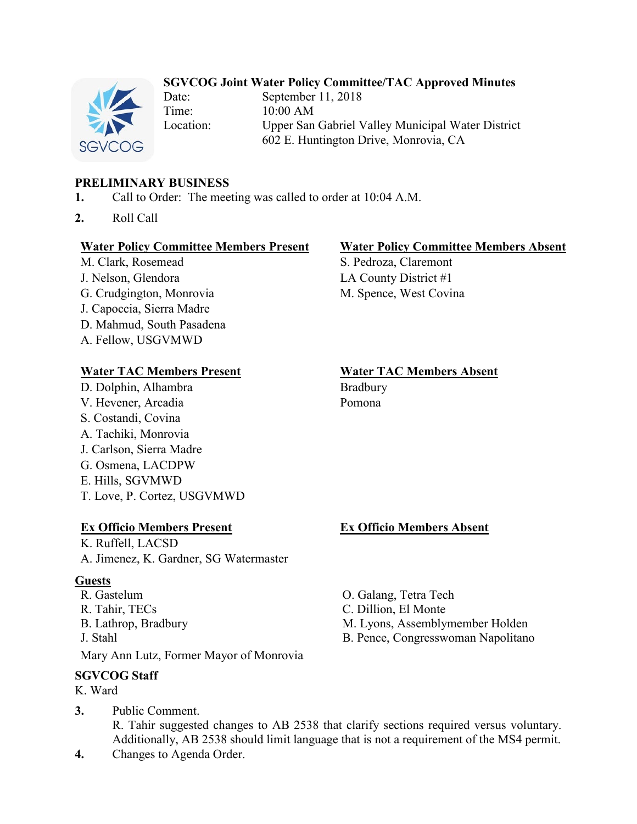## **SGVCOG Joint Water Policy Committee/TAC Approved Minutes**



Date: September 11, 2018 Time: 10:00 AM Location: Upper San Gabriel Valley Municipal Water District 602 E. Huntington Drive, Monrovia, CA

### **PRELIMINARY BUSINESS**

- **1.** Call to Order: The meeting was called to order at 10:04 A.M.
- **2.** Roll Call

#### **Water Policy Committee Members Present Water Policy Committee Members Absent**

M. Clark, Rosemead S. Pedroza, Claremont J. Nelson, Glendora LA County District #1 G. Crudgington, Monrovia M. Spence, West Covina J. Capoccia, Sierra Madre D. Mahmud, South Pasadena A. Fellow, USGVMWD

#### **Water TAC Members Present Water TAC Members Absent**

D. Dolphin, Alhambra Bradbury V. Hevener, Arcadia Pomona S. Costandi, Covina A. Tachiki, Monrovia J. Carlson, Sierra Madre G. Osmena, LACDPW E. Hills, SGVMWD T. Love, P. Cortez, USGVMWD

### **Ex Officio Members Present Ex Officio Members Absent**

K. Ruffell, LACSD A. Jimenez, K. Gardner, SG Watermaster

### **Guests**

R. Gastelum O. Galang, Tetra Tech R. Tahir, TECs C. Dillion, El Monte B. Lathrop, Bradbury M. Lyons, Assemblymember Holden J. Stahl B. Pence, Congresswoman Napolitano Mary Ann Lutz, Former Mayor of Monrovia

#### **SGVCOG Staff**

- K. Ward
- **3.** Public Comment. R. Tahir suggested changes to AB 2538 that clarify sections required versus voluntary. Additionally, AB 2538 should limit language that is not a requirement of the MS4 permit.
- **4.** Changes to Agenda Order.